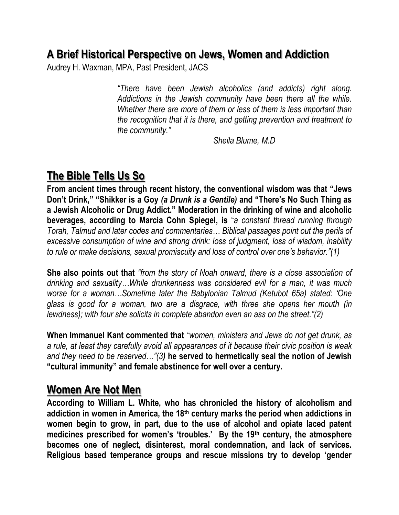### **A Brief Historical Perspective on Jews, Women and Addiction**

Audrey H. Waxman, MPA, Past President, JACS

*"There have been Jewish alcoholics (and addicts) right along. Addictions in the Jewish community have been there all the while. Whether there are more of them or less of them is less important than the recognition that it is there, and getting prevention and treatment to the community."* 

*Sheila Blume, M.D*

# **The Bible Tells Us So**

**From ancient times through recent history, the conventional wisdom was that "Jews Don't Drink," "Shikker is a Goy** *(a Drunk is a Gentile)* **and "There's No Such Thing as a Jewish Alcoholic or Drug Addict." Moderation in the drinking of wine and alcoholic beverages, according to Marcia Cohn Spiegel, is** "*a constant thread running through Torah, Talmud and later codes and commentaries… Biblical passages point out the perils of excessive consumption of wine and strong drink: loss of judgment, loss of wisdom, inability to rule or make decisions, sexual promiscuity and loss of control over one's behavior."(1)*

**She also points out that** *"from the story of Noah onward, there is a close association of drinking and sexuality…While drunkenness was considered evil for a man, it was much worse for a woman…Sometime later the Babylonian Talmud (Ketubot 65a) stated: 'One glass is good for a woman, two are a disgrace, with three she opens her mouth (in lewdness); with four she solicits in complete abandon even an ass on the street.*"(2)

**When Immanuel Kant commented that** *"women, ministers and Jews do not get drunk, as a rule, at least they carefully avoid all appearances of it because their civic position is weak and they need to be reserved…"(3)* **he served to hermetically seal the notion of Jewish "cultural immunity" and female abstinence for well over a century.** 

### **Women Are Not Men**

**According to William L. White, who has chronicled the history of alcoholism and addiction in women in America, the 18th century marks the period when addictions in women begin to grow, in part, due to the use of alcohol and opiate laced patent medicines prescribed for women's 'troubles.' By the 19th century, the atmosphere becomes one of neglect, disinterest, moral condemnation, and lack of services. Religious based temperance groups and rescue missions try to develop 'gender**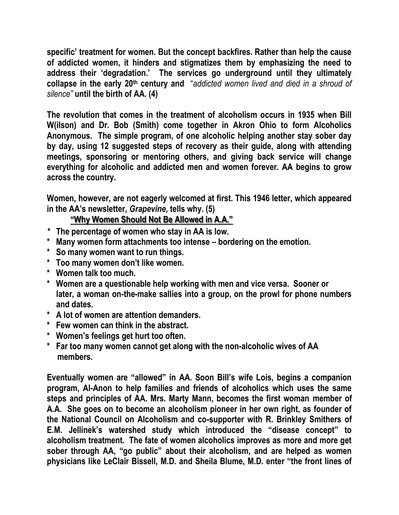**specific' treatment for women. But the concept backfires. Rather than help the cause of addicted women, it hinders and stigmatizes them by emphasizing the need to address their 'degradation.' The services go underground until they ultimately collapse in the early 20th century and** "*addicted women lived and died in a shroud of silence"* **until the birth of AA. (4)**

**The revolution that comes in the treatment of alcoholism occurs in 1935 when Bill W(ilson) and Dr. Bob (Smith) come together in Akron Ohio to form Alcoholics Anonymous. The simple program, of one alcoholic helping another stay sober day by day, using 12 suggested steps of recovery as their guide, along with attending meetings, sponsoring or mentoring others, and giving back service will change everything for alcoholic and addicted men and women forever. AA begins to grow across the country.** 

**Women, however, are not eagerly welcomed at first. This 1946 letter, which appeared in the AA's newsletter,** *Grapevine,* **tells why. (5)**

### **"Why Women Should Not Be Allowed in A.A."**

- *\** **The percentage of women who stay in AA is low.**
- **\* Many women form attachments too intense – bordering on the emotion.**
- **\* So many women want to run things.**
- **\* Too many women don't like women.**
- **\* Women talk too much.**
- **\* Women are a questionable help working with men and vice versa. Sooner or later, a woman on-the-make sallies into a group, on the prowl for phone numbers and dates.**
- **\* A lot of women are attention demanders.**
- **\* Few women can think in the abstract.**
- **\* Women's feelings get hurt too often.**
- **\* Far too many women cannot get along with the non-alcoholic wives of AA members.**

**Eventually women are "allowed" in AA. Soon Bill's wife Lois, begins a companion program, Al-Anon to help families and friends of alcoholics which uses the same steps and principles of AA. Mrs. Marty Mann, becomes the first woman member of A.A. She goes on to become an alcoholism pioneer in her own right, as founder of the National Council on Alcoholism and co-supporter with R. Brinkley Smithers of E.M. Jellinek's watershed study which introduced the "disease concept" to alcoholism treatment. The fate of women alcoholics improves as more and more get sober through AA, "go public" about their alcoholism, and are helped as women physicians like LeClair Bissell, M.D. and Sheila Blume, M.D. enter "the front lines of**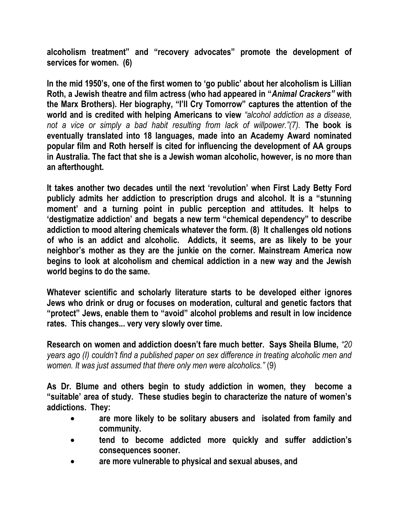**alcoholism treatment" and "recovery advocates" promote the development of services for women. (6)**

**In the mid 1950's, one of the first women to 'go public' about her alcoholism is Lillian Roth, a Jewish theatre and film actress (who had appeared in "***Animal Crackers"* **with the Marx Brothers). Her biography, "I'll Cry Tomorrow" captures the attention of the world and is credited with helping Americans to view** *"alcohol addiction as a disease, not a vice or simply a bad habit resulting from lack of willpower."(7).* **The book is eventually translated into 18 languages, made into an Academy Award nominated popular film and Roth herself is cited for influencing the development of AA groups in Australia. The fact that she is a Jewish woman alcoholic, however, is no more than an afterthought.** 

**It takes another two decades until the next 'revolution' when First Lady Betty Ford publicly admits her addiction to prescription drugs and alcohol. It is a "stunning moment' and a turning point in public perception and attitudes. It helps to 'destigmatize addiction' and begats a new term "chemical dependency" to describe addiction to mood altering chemicals whatever the form. (8) It challenges old notions of who is an addict and alcoholic. Addicts, it seems, are as likely to be your neighbor's mother as they are the junkie on the corner. Mainstream America now begins to look at alcoholism and chemical addiction in a new way and the Jewish world begins to do the same.** 

**Whatever scientific and scholarly literature starts to be developed either ignores Jews who drink or drug or focuses on moderation, cultural and genetic factors that "protect" Jews, enable them to "avoid" alcohol problems and result in low incidence rates. This changes... very very slowly over time.** 

**Research on women and addiction doesn't fare much better. Says Sheila Blume,** *"20 years ago (I) couldn't find a published paper on sex difference in treating alcoholic men and women. It was just assumed that there only men were alcoholics."* (9)

**As Dr. Blume and others begin to study addiction in women, they become a "suitable' area of study. These studies begin to characterize the nature of women's addictions. They:** 

- **are more likely to be solitary abusers and isolated from family and community.**
- **tend to become addicted more quickly and suffer addiction's consequences sooner.**
- **are more vulnerable to physical and sexual abuses, and**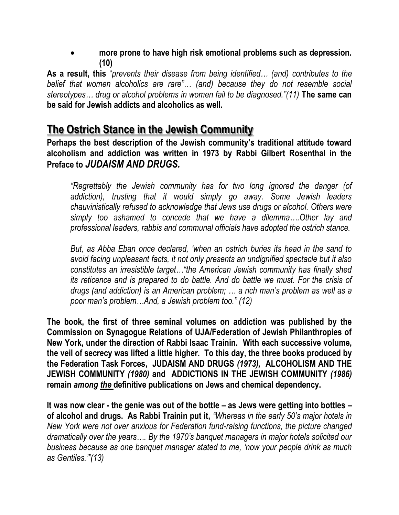**more prone to have high risk emotional problems such as depression. (10)** 

**As a result, this** "*prevents their disease from being identified… (and) contributes to the belief that women alcoholics are rare"… (and) because they do not resemble social stereotypes… drug or alcohol problems in women fail to be diagnosed."(11)* **The same can be said for Jewish addicts and alcoholics as well.** 

## **The Ostrich Stance in the Jewish Community**

**Perhaps the best description of the Jewish community's traditional attitude toward alcoholism and addiction was written in 1973 by Rabbi Gilbert Rosenthal in the Preface to** *JUDAISM AND DRUGS.*

*"Regrettably the Jewish community has for two long ignored the danger (of addiction), trusting that it would simply go away. Some Jewish leaders chauvinistically refused to acknowledge that Jews use drugs or alcohol. Others were simply too ashamed to concede that we have a dilemma….Other lay and professional leaders, rabbis and communal officials have adopted the ostrich stance.* 

*But, as Abba Eban once declared, 'when an ostrich buries its head in the sand to avoid facing unpleasant facts, it not only presents an undignified spectacle but it also constitutes an irresistible target…"the American Jewish community has finally shed its reticence and is prepared to do battle. And do battle we must. For the crisis of drugs (and addiction) is an American problem; … a rich man's problem as well as a poor man's problem…And, a Jewish problem too." (12)*

**The book, the first of three seminal volumes on addiction was published by the Commission on Synagogue Relations of UJA/Federation of Jewish Philanthropies of New York, under the direction of Rabbi Isaac Trainin. With each successive volume, the veil of secrecy was lifted a little higher. To this day, the three books produced by the Federation Task Forces, JUDAISM AND DRUGS** *(1973),* **ALCOHOLISM AND THE JEWISH COMMUNITY** *(1980)* **and ADDICTIONS IN THE JEWISH COMMUNITY** *(1986)* **remain** *among the* **definitive publications on Jews and chemical dependency.** 

**It was now clear - the genie was out of the bottle – as Jews were getting into bottles – of alcohol and drugs. As Rabbi Trainin put it,** *"Whereas in the early 50's major hotels in New York were not over anxious for Federation fund-raising functions, the picture changed dramatically over the years…. By the 1970's banquet managers in major hotels solicited our business because as one banquet manager stated to me, 'now your people drink as much as Gentiles.'"(13)*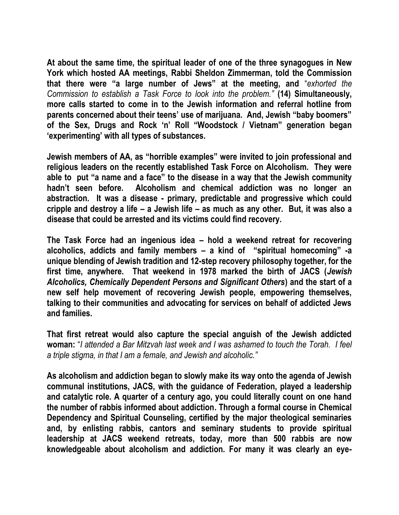**At about the same time, the spiritual leader of one of the three synagogues in New York which hosted AA meetings, Rabbi Sheldon Zimmerman, told the Commission that there were "a large number of Jews" at the meeting, and** "*exhorted the Commission to establish a Task Force to look into the problem."* **(14) Simultaneously, more calls started to come in to the Jewish information and referral hotline from parents concerned about their teens' use of marijuana. And, Jewish "baby boomers" of the Sex, Drugs and Rock 'n' Roll "Woodstock / Vietnam" generation began 'experimenting' with all types of substances.** 

**Jewish members of AA, as "horrible examples" were invited to join professional and religious leaders on the recently established Task Force on Alcoholism. They were able to put "a name and a face" to the disease in a way that the Jewish community hadn't seen before. Alcoholism and chemical addiction was no longer an abstraction. It was a disease - primary, predictable and progressive which could cripple and destroy a life – a Jewish life – as much as any other. But, it was also a disease that could be arrested and its victims could find recovery.**

**The Task Force had an ingenious idea – hold a weekend retreat for recovering alcoholics, addicts and family members – a kind of "spiritual homecoming" -a unique blending of Jewish tradition and 12-step recovery philosophy together, for the first time, anywhere. That weekend in 1978 marked the birth of JACS (***Jewish Alcoholics, Chemically Dependent Persons and Significant Others***) and the start of a new self help movement of recovering Jewish people, empowering themselves, talking to their communities and advocating for services on behalf of addicted Jews and families.** 

**That first retreat would also capture the special anguish of the Jewish addicted woman:** "*I attended a Bar Mitzvah last week and I was ashamed to touch the Torah. I feel a triple stigma, in that I am a female, and Jewish and alcoholic."* 

**As alcoholism and addiction began to slowly make its way onto the agenda of Jewish communal institutions, JACS, with the guidance of Federation, played a leadership and catalytic role. A quarter of a century ago, you could literally count on one hand the number of rabbis informed about addiction. Through a formal course in Chemical Dependency and Spiritual Counseling, certified by the major theological seminaries and, by enlisting rabbis, cantors and seminary students to provide spiritual leadership at JACS weekend retreats, today, more than 500 rabbis are now knowledgeable about alcoholism and addiction. For many it was clearly an eye-**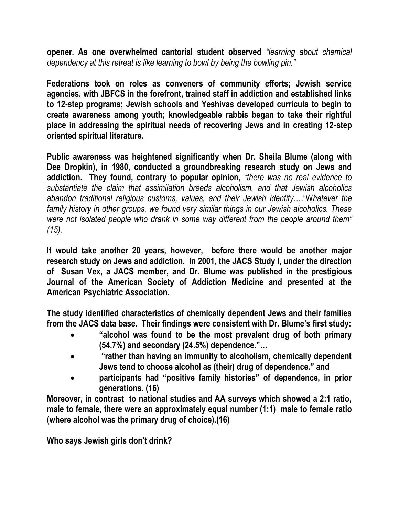**opener. As one overwhelmed cantorial student observed** *"learning about chemical dependency at this retreat is like learning to bowl by being the bowling pin."*

**Federations took on roles as conveners of community efforts; Jewish service agencies, with JBFCS in the forefront, trained staff in addiction and established links to 12-step programs; Jewish schools and Yeshivas developed curricula to begin to create awareness among youth; knowledgeable rabbis began to take their rightful place in addressing the spiritual needs of recovering Jews and in creating 12-step oriented spiritual literature.** 

**Public awareness was heightened significantly when Dr. Sheila Blume (along with Dee Dropkin), in 1980, conducted a groundbreaking research study on Jews and addiction. They found, contrary to popular opinion,** "*there was no real evidence to substantiate the claim that assimilation breeds alcoholism, and that Jewish alcoholics abandon traditional religious customs, values, and their Jewish identity.…*"W*hatever the family history in other groups, we found very similar things in our Jewish alcoholics. These were not isolated people who drank in some way different from the people around them" (15).* 

**It would take another 20 years, however, before there would be another major research study on Jews and addiction. In 2001, the JACS Study I, under the direction of Susan Vex, a JACS member, and Dr. Blume was published in the prestigious Journal of the American Society of Addiction Medicine and presented at the American Psychiatric Association.** 

**The study identified characteristics of chemically dependent Jews and their families from the JACS data base. Their findings were consistent with Dr. Blume's first study:** 

- **"alcohol was found to be the most prevalent drug of both primary (54.7%) and secondary (24.5%) dependence."…**
- **"rather than having an immunity to alcoholism, chemically dependent Jews tend to choose alcohol as (their) drug of dependence." and**
- **participants had "positive family histories" of dependence, in prior generations. (16)**

**Moreover, in contrast to national studies and AA surveys which showed a 2:1 ratio, male to female, there were an approximately equal number (1:1) male to female ratio (where alcohol was the primary drug of choice).(16)** 

**Who says Jewish girls don't drink?**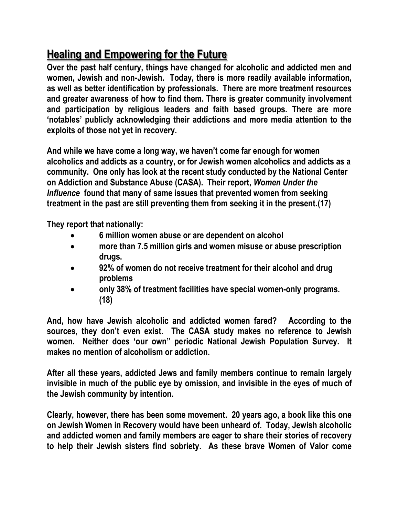# **Healing and Empowering for the Future**

**Over the past half century, things have changed for alcoholic and addicted men and women, Jewish and non-Jewish. Today, there is more readily available information, as well as better identification by professionals. There are more treatment resources and greater awareness of how to find them. There is greater community involvement and participation by religious leaders and faith based groups. There are more 'notables' publicly acknowledging their addictions and more media attention to the exploits of those not yet in recovery.** 

**And while we have come a long way, we haven't come far enough for women alcoholics and addicts as a country, or for Jewish women alcoholics and addicts as a community. One only has look at the recent study conducted by the National Center on Addiction and Substance Abuse (CASA). Their report,** *Women Under the Influence* **found that many of same issues that prevented women from seeking treatment in the past are still preventing them from seeking it in the present.(17)** 

**They report that nationally:**

- **6 million women abuse or are dependent on alcohol**
- **more than 7.5 million girls and women misuse or abuse prescription drugs.**
- **92% of women do not receive treatment for their alcohol and drug problems**
- **only 38% of treatment facilities have special women-only programs. (18)**

**And, how have Jewish alcoholic and addicted women fared? According to the sources, they don't even exist. The CASA study makes no reference to Jewish women. Neither does 'our own" periodic National Jewish Population Survey. It makes no mention of alcoholism or addiction.** 

**After all these years, addicted Jews and family members continue to remain largely invisible in much of the public eye by omission, and invisible in the eyes of much of the Jewish community by intention.** 

**Clearly, however, there has been some movement. 20 years ago, a book like this one on Jewish Women in Recovery would have been unheard of. Today, Jewish alcoholic and addicted women and family members are eager to share their stories of recovery to help their Jewish sisters find sobriety. As these brave Women of Valor come**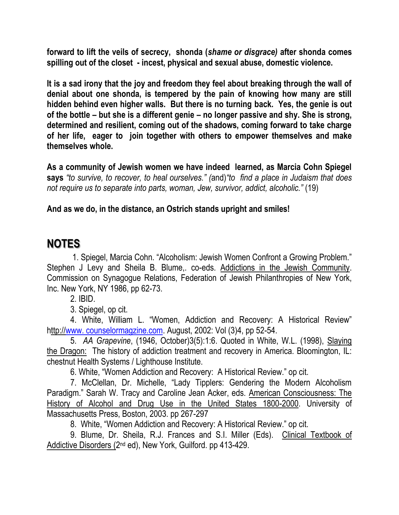**forward to lift the veils of secrecy, shonda (***shame or disgrace)* **after shonda comes spilling out of the closet - incest, physical and sexual abuse, domestic violence.** 

**It is a sad irony that the joy and freedom they feel about breaking through the wall of denial about one shonda, is tempered by the pain of knowing how many are still hidden behind even higher walls. But there is no turning back. Yes, the genie is out of the bottle – but she is a different genie – no longer passive and shy. She is strong, determined and resilient, coming out of the shadows, coming forward to take charge of her life, eager to join together with others to empower themselves and make themselves whole.** 

**As a community of Jewish women we have indeed learned, as Marcia Cohn Spiegel says** *"to survive, to recover, to heal ourselves." (*and)*"to find a place in Judaism that does not require us to separate into parts, woman, Jew, survivor, addict, alcoholic."* (19)

#### **And as we do, in the distance, an Ostrich stands upright and smiles!**

## **NOTES**

1. Spiegel, Marcia Cohn. "Alcoholism: Jewish Women Confront a Growing Problem." Stephen J Levy and Sheila B. Blume,. co-eds. Addictions in the Jewish Community. Commission on Synagogue Relations, Federation of Jewish Philanthropies of New York, Inc. New York, NY 1986, pp 62-73.

2. IBID.

3. Spiegel, op cit.

4. White, William L. "Women, Addiction and Recovery: A Historical Review" http:/[/www. counselormagzine.com.](http://www.counselormagzine.com/) August, 2002: Vol (3)4, pp 52-54.

5. *AA Grapevine*, (1946, October)3(5):1:6. Quoted in White, W.L. (1998), Slaying the Dragon: The history of addiction treatment and recovery in America. Bloomington, IL: chestnut Health Systems / Lighthouse Institute.

6. White, "Women Addiction and Recovery: A Historical Review." op cit.

7. McClellan, Dr. Michelle, "Lady Tipplers: Gendering the Modern Alcoholism Paradigm." Sarah W. Tracy and Caroline Jean Acker, eds. American Consciousness: The History of Alcohol and Drug Use in the United States 1800-2000. University of Massachusetts Press, Boston, 2003. pp 267-297

8. White, "Women Addiction and Recovery: A Historical Review." op cit.

9. Blume, Dr. Sheila, R.J. Frances and S.I. Miller (Eds). Clinical Textbook of Addictive Disorders (2<sup>nd</sup> ed), New York, Guilford. pp 413-429.